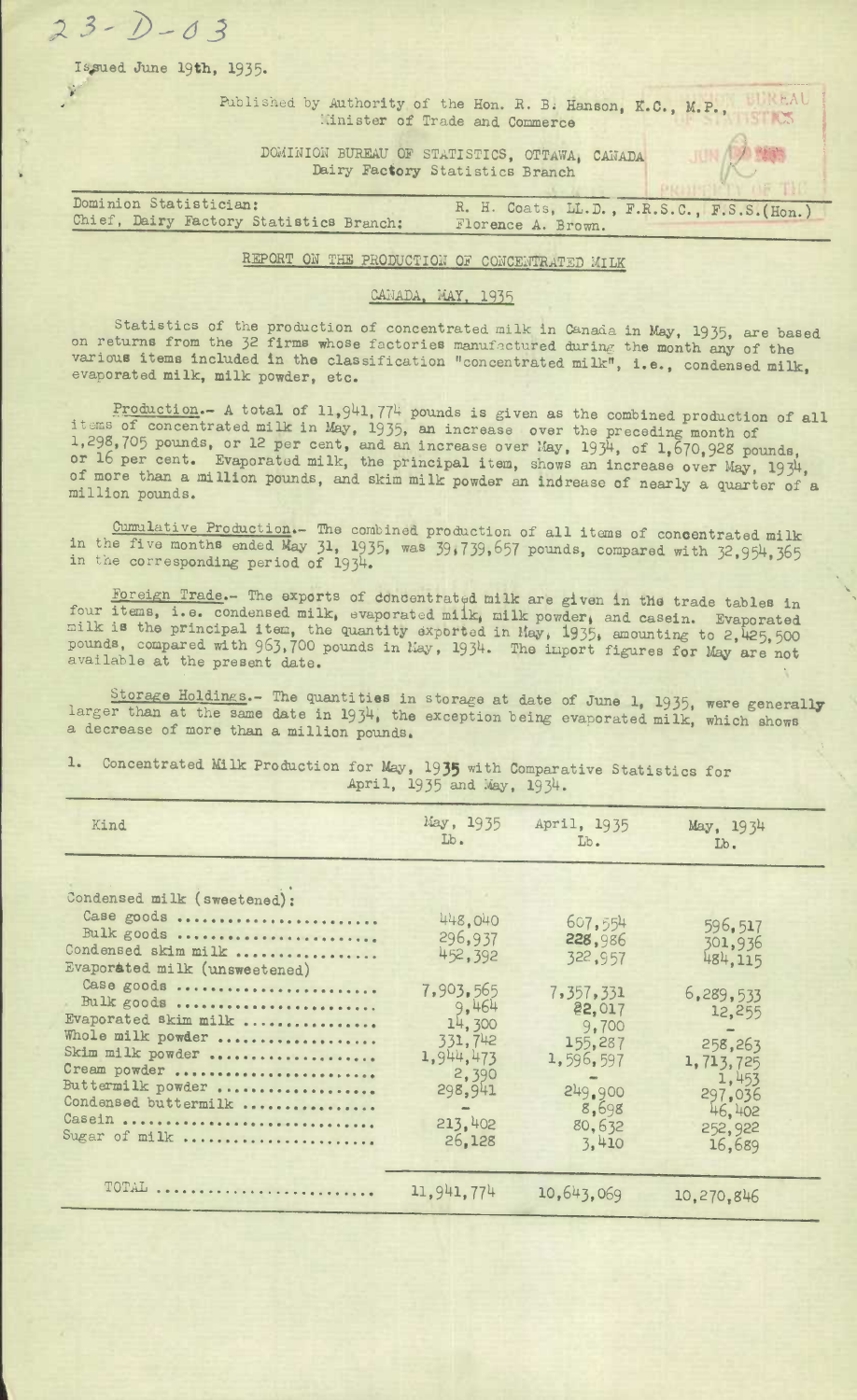$23 - D - 03$ 

 $\hat{\mathbf{r}}$ 

Published by Authority of the Hon. R. B. Hanson, K.C., M.P., LIKEAL **ISTICS** Minister of Trade and Commerce

八座的

DOMINION BUREAU OF STATISTICS, OTTAWA, CANADA Dairy Factory Statistics Branch

| Dominion Statistician:                  | R. H. Coats, LL.D., F.R.S.C., F.S.S. (Hon.) |
|-----------------------------------------|---------------------------------------------|
| Chief, Dairy Factory Statistics Branch; | Florence A. Brown.                          |

REPORT ON THE PRODUCTION OF CONCENTRATED MILK

CANADA, MAY, 1935

Statistics of the production of concentrated milk in Canada in May, 1935, are based on returns from the 32 firms whose factories manufactured during the month any of the various items included in the classification "concentrated milk", i.e., condensed milk, evaporated milk, milk powder, etc.

Production.- A total of 11,941,774 pounds is given as the combined production of all items of concentrated milk in May, 1935, an increase over the preceding month of 1,298,705 pounds, or 12 per cent, and an increase over May, 1934, of 1,670,928 pounds, or 16 per cent. Evaporated milk, the principal item, s of more than a million pounds, and skim milk powder an indrease of nearly a quarter of a million pounds.

Cumulative Production.- The combined production of all items of concentrated milk<br>in the five months ended May 31, 1935, was  $39,739,657$  pounds, compared with  $32,954,365$ in the corresponding period of 1934.

Foreign Trade.- The exports of concentrated milk are given in the trade tables in four items, i.e. condensed milk, evaporated milk, milk powder, and casein. Evaporated milk is the principal item, the quantity exported in May, 1935, amounting to 2,425,500 pounds, compared with 963,700 pounds in May, 1934 available at the present date.

Storage Holdings.- The quantities in storage at date of June 1, 1935, were generally larger than at the same date in 1934, the exception being evaporated milk, which shows a decrease of more than a million pounds.

| Kind                                                                                                                                                                                                                                                                                                 | May, 1935<br>Lb.                                                                                                               | April, 1935<br>Lb.                                                                                                           | May, 1934<br>$Lb$ .                                                                                                                |
|------------------------------------------------------------------------------------------------------------------------------------------------------------------------------------------------------------------------------------------------------------------------------------------------------|--------------------------------------------------------------------------------------------------------------------------------|------------------------------------------------------------------------------------------------------------------------------|------------------------------------------------------------------------------------------------------------------------------------|
| Condensed milk (sweetened):<br>Case goods<br>Bulk goods<br>Condensed skim milk<br>Evaporated milk (unsweetened)<br>Case goods<br>Bulk goods<br>Evaporated skim milk<br>Whole milk powder<br>Skim milk powder<br>Cream powder<br>Buttermilk powder<br>Condensed buttermilk<br>Casein<br>Sugar of milk | 448.040<br>296,937<br>452.392<br>7,903,565<br>9,464<br>14,300<br>331,742<br>1,944,473<br>2,390<br>298,941<br>213.402<br>26,128 | 607.554<br>228,986<br>322,957<br>7,357,331<br>22,017<br>9,700<br>155,287<br>1,596,597<br>249,900<br>8,698<br>80,632<br>3,410 | 596,517<br>301,936<br>484.115<br>6,289,533<br>12,255<br>258,263<br>1, 713, 725<br>1.453<br>297,036<br>46, 402<br>252,922<br>16,689 |
| TOTAL                                                                                                                                                                                                                                                                                                | 11, 941, 774                                                                                                                   | 10,643,069                                                                                                                   | 10,270,846                                                                                                                         |

Concentrated Milk Production for May, 1935 with Comparative Statistics for  $1.$ April, 1935 and May, 1934.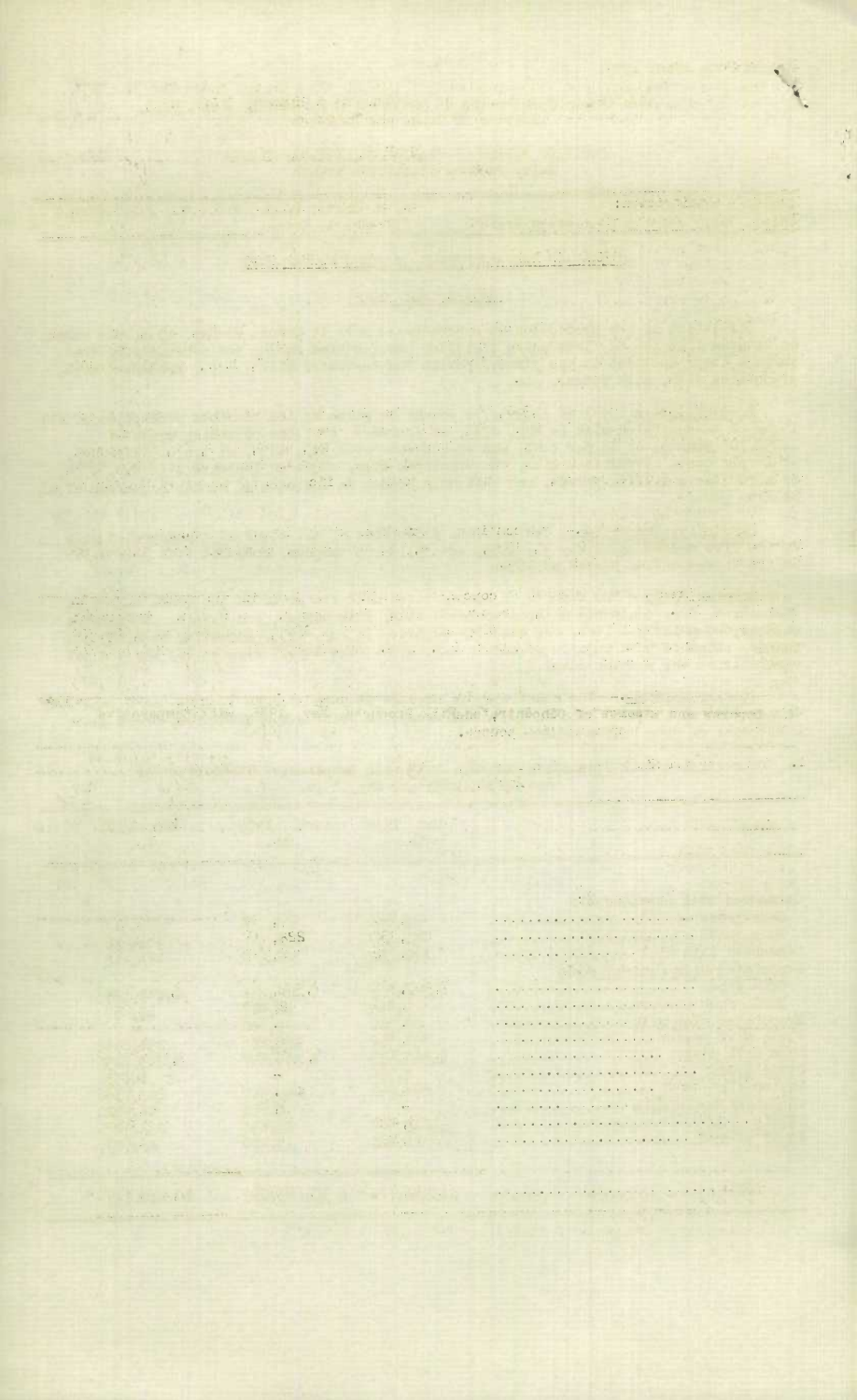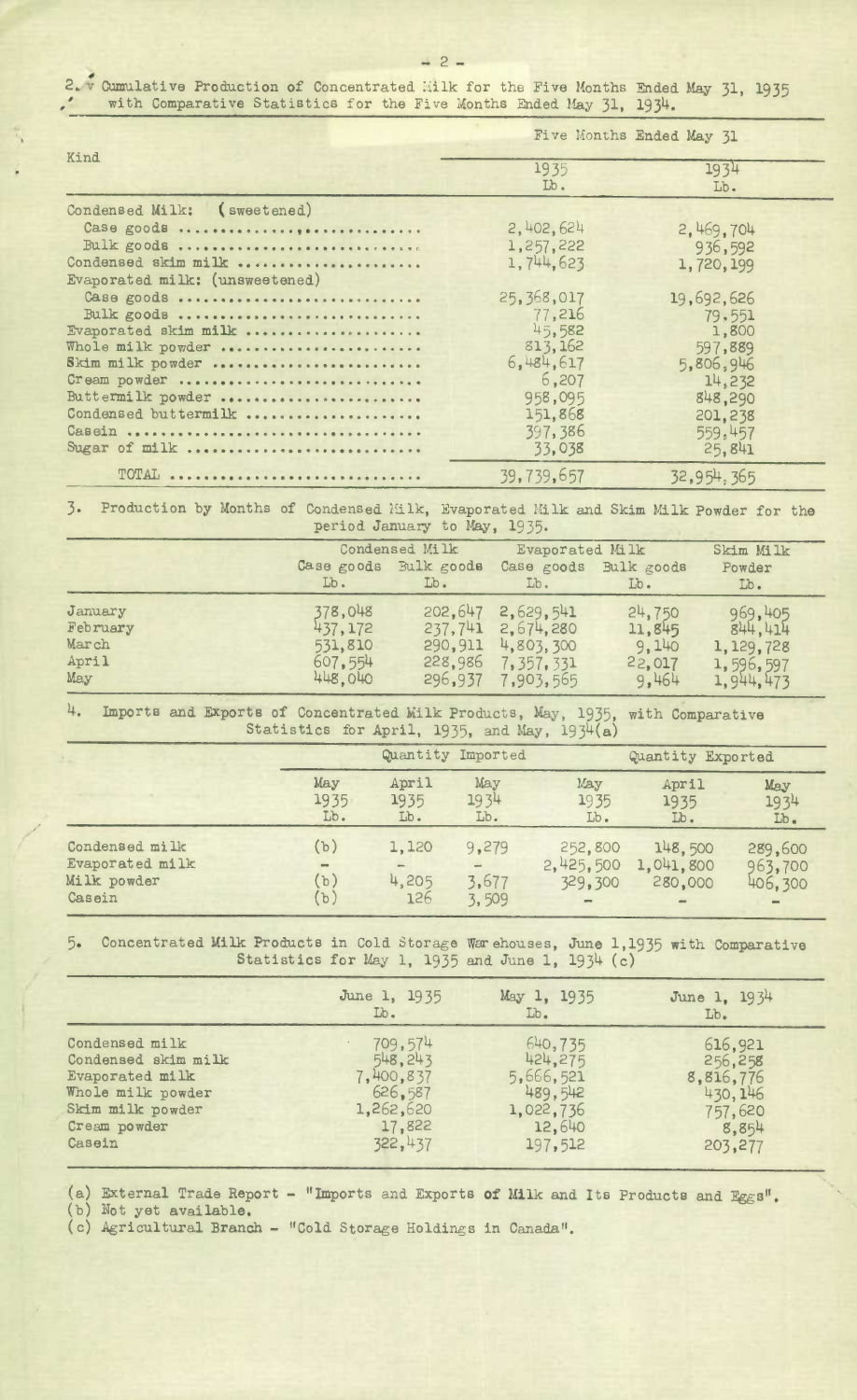|                                           | Five Months Ended May 31 |                  |  |  |  |
|-------------------------------------------|--------------------------|------------------|--|--|--|
| Kind                                      | 1935                     | 1934             |  |  |  |
|                                           | Lb.                      | Lb.              |  |  |  |
| Condensed Milk: (sweetened)               |                          |                  |  |  |  |
| Case goods                                | 2,402,624                | 2.469.704        |  |  |  |
| Bulk goods                                | 1,257,222                | 936,592          |  |  |  |
| Condensed skim milk                       | 1,744,623                | 1,720,199        |  |  |  |
| Evaporated milk: (unsweetened)            |                          |                  |  |  |  |
| Case goods                                | 25, 368, 017             | 19,692,626       |  |  |  |
| Bulk goods                                | 77,216<br>45,582         | 79,551           |  |  |  |
| Evaporated skim milk<br>Whole milk powder | 813, 162                 | 1,800<br>597,889 |  |  |  |
| Skim milk powder                          | 6,484,617                | 5,806,946        |  |  |  |
| Cream powder                              | 6,207                    | 14,232           |  |  |  |
| Buttermilk powder                         | 958,095                  | 848,290          |  |  |  |
| Condensed buttermilk                      | 151,868                  | 201,238          |  |  |  |
| Casein                                    | 397,386                  | 559,457          |  |  |  |
| Sugar of milk                             | 33,038                   | 25,841           |  |  |  |

3. Production by Months of Condensed Milk, Evaporated Milk and Skim Milk Powder for the period January to May, 1935-

TOTAL .................... 39,739,657 32,951<sup>4</sup> ; 365

|                                              | $Lb$ .                                              | Condensed Milk<br>Case goods Bulk goods<br>$Lb$ . | Evaporated Milk<br>Case goods Bulk goods<br>$Lb$ .                                                  | $Ib$ .                                       | Skim Milk<br>Powder<br>$Ib$ .                                 |
|----------------------------------------------|-----------------------------------------------------|---------------------------------------------------|-----------------------------------------------------------------------------------------------------|----------------------------------------------|---------------------------------------------------------------|
| January<br>February<br>March<br>April<br>May | 378,048<br>437,172<br>531,810<br>607.554<br>448.040 | 290, 911                                          | $202,647$ 2,629,541<br>$237,741$ $2,674,280$<br>4,803,300<br>228,986 7,357,331<br>296,937 7,903,565 | 24,750<br>11,845<br>9.140<br>22,017<br>9,464 | 969,405<br>844,414<br>1, 129, 728<br>1,596,597<br>1, 944, 473 |

4. Imports and Exports of Concentrated Milk Products, May, 1935, with Comparative Statistics for April, 1935, and May,  $193^{11}(a)$ 

|                                                            |                                          | Quantity Imported       |                                          |                                           | Quantity Exported               |                               |  |
|------------------------------------------------------------|------------------------------------------|-------------------------|------------------------------------------|-------------------------------------------|---------------------------------|-------------------------------|--|
|                                                            | May<br>1935<br>Lb.                       | April<br>1935<br>$Lb$ . | May<br>1934<br>Lb.                       | May<br>1935<br>$Lb$ .                     | April<br>1935<br>$Ib$ .         | May<br>1934<br>Lb.            |  |
| Condensed milk<br>Evaporated milk<br>Milk powder<br>Casein | (Ⴆ)<br>$\blacksquare$<br>$\sigma$<br>$b$ | 1,120<br>4,205<br>126   | 9,279<br>$\rightarrow$<br>3,677<br>3,509 | 252,800<br>2,425,500<br>329,300<br>$\sim$ | 148.500<br>1,041,800<br>280,000 | 289,600<br>963,700<br>406,300 |  |

5. Concentrated Milk Products in Cold Storage Warehouses, June 1,1935 with Comparative Statistics for May 1, 1935 and June 1, 1934 (c)

|                     | June 1, 1935 | May 1, 1935 | June 1, 1934 |
|---------------------|--------------|-------------|--------------|
|                     | $Ib -$       | Lb.         | $Lb$ .       |
| Condensed milk      | 709,574      | 640,735     | 616,921      |
| Condensed skim milk | 548, 243     | 424, 275    | 256,258      |
| Evaporated milk     | 7,400,837    | 5,666,521   | 8,816,776    |
| Whole milk powder   | 626,587      | 489.542     | 430, 146     |
| Skim milk powder    | 1,262,620    | 1,022,736   | 757,620      |
| Cream powder        | 17,822       | 12,640      | 8,854        |
| Casein              | 322,437      | 197,512     | 203,277      |

External Trade Report - "Imports and Exports of Milk and Its Products and  $_{Egg}$ s".

Not yet available,

Agricultural Branch - "Cold Storage Holdings in *Canada".* 

2. v Cumulative Production of Concentrated Milk for the Five Months Ended May 31, 1935 with Comparative Statistics for the Five Months Ended May 31, 1934.